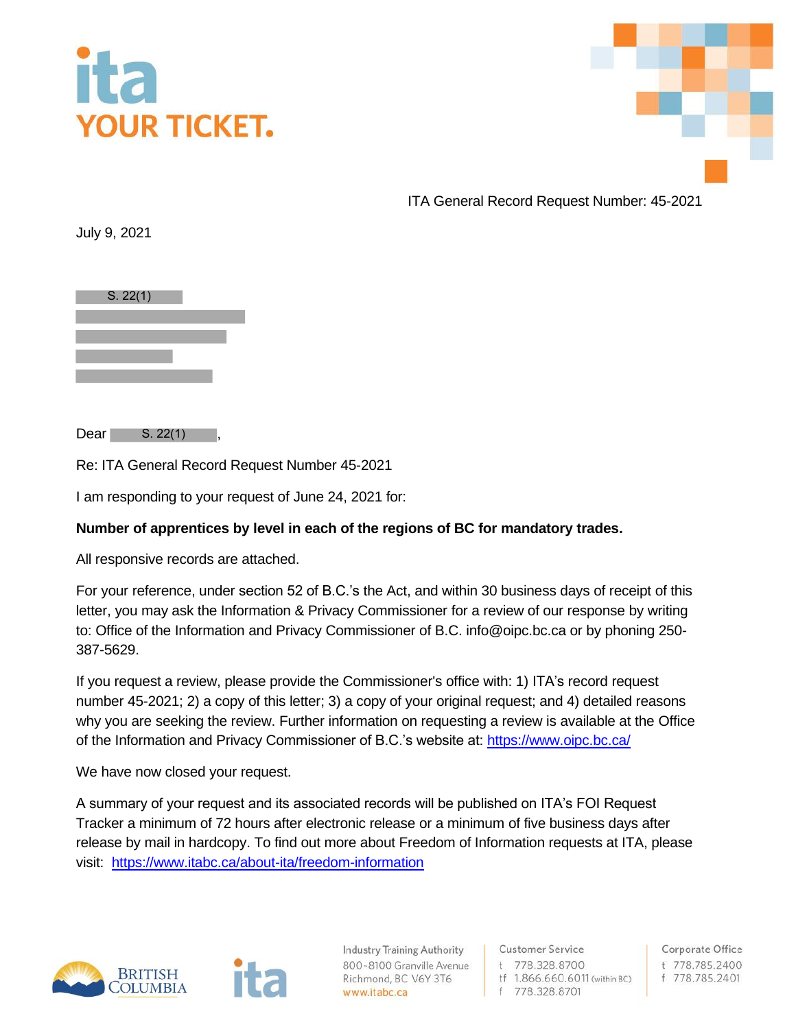



ITA General Record Request Number: 45-2021

July 9, 2021



 $Dear$   $S. 22(1)$ ,

Re: ITA General Record Request Number 45-2021

I am responding to your request of June 24, 2021 for:

## **Number of apprentices by level in each of the regions of BC for mandatory trades.**

All responsive records are attached.

For your reference, under section 52 of B.C.'s the Act, and within 30 business days of receipt of this letter, you may ask the Information & Privacy Commissioner for a review of our response by writing to: Office of the Information and Privacy Commissioner of B.C. info@oipc.bc.ca or by phoning 250- 387-5629.

If you request a review, please provide the Commissioner's office with: 1) ITA's record request number 45-2021; 2) a copy of this letter; 3) a copy of your original request; and 4) detailed reasons why you are seeking the review. Further information on requesting a review is available at the Office of the Information and Privacy Commissioner of B.C.'s website at[: https://www.oipc.bc.ca/](https://www.oipc.bc.ca/)

We have now closed your request.

A summary of your request and its associated records will be published on ITA's FOI Request Tracker a minimum of 72 hours after electronic release or a minimum of five business days after release by mail in hardcopy. To find out more about Freedom of Information requests at ITA, please visit: <https://www.itabc.ca/about-ita/freedom-information>



**Industry Training Authority** 800-8100 Granville Avenue Richmond, BC V6Y 3T6 www.itabc.ca

**Customer Service** t 778.328.8700 tf 1.866.660.6011 (within BC) f 778.328.8701

Corporate Office t 778.785.2400 f 778.785.2401